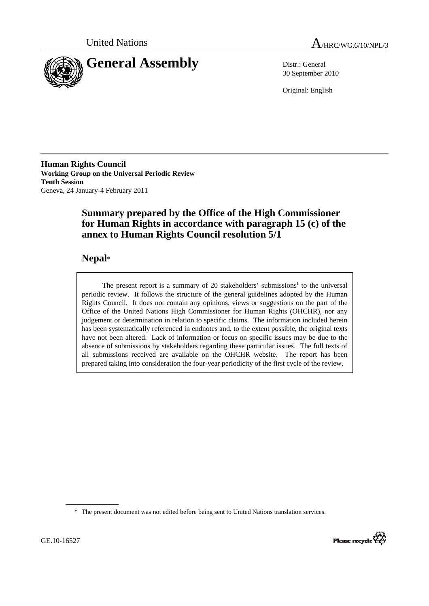



30 September 2010

Original: English

**Human Rights Council Working Group on the Universal Periodic Review Tenth Session**  Geneva, 24 January-4 February 2011

# **Summary prepared by the Office of the High Commissioner for Human Rights in accordance with paragraph 15 (c) of the annex to Human Rights Council resolution 5/1**

# **Nepal**\*

The present report is a summary of 20 stakeholders' submissions<sup>1</sup> to the universal periodic review. It follows the structure of the general guidelines adopted by the Human Rights Council. It does not contain any opinions, views or suggestions on the part of the Office of the United Nations High Commissioner for Human Rights (OHCHR), nor any judgement or determination in relation to specific claims. The information included herein has been systematically referenced in endnotes and, to the extent possible, the original texts have not been altered. Lack of information or focus on specific issues may be due to the absence of submissions by stakeholders regarding these particular issues. The full texts of all submissions received are available on the OHCHR website. The report has been prepared taking into consideration the four-year periodicity of the first cycle of the review.

<sup>\*</sup> The present document was not edited before being sent to United Nations translation services.

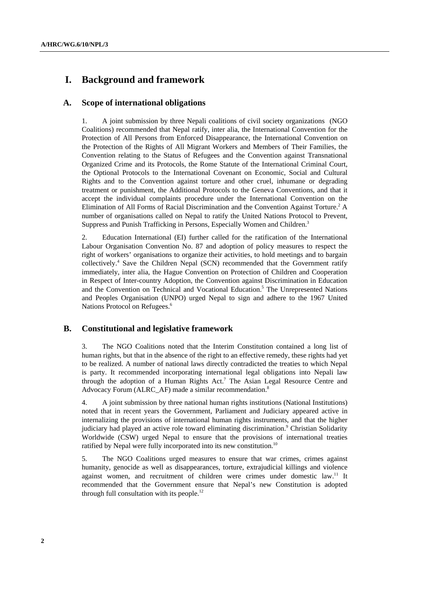# **I. Background and framework**

## **A. Scope of international obligations**

1. A joint submission by three Nepali coalitions of civil society organizations (NGO Coalitions) recommended that Nepal ratify, inter alia, the International Convention for the Protection of All Persons from Enforced Disappearance, the International Convention on the Protection of the Rights of All Migrant Workers and Members of Their Families, the Convention relating to the Status of Refugees and the Convention against Transnational Organized Crime and its Protocols, the Rome Statute of the International Criminal Court, the Optional Protocols to the International Covenant on Economic, Social and Cultural Rights and to the Convention against torture and other cruel, inhumane or degrading treatment or punishment, the Additional Protocols to the Geneva Conventions, and that it accept the individual complaints procedure under the International Convention on the Elimination of All Forms of Racial Discrimination and the Convention Against Torture.<sup>2</sup> A number of organisations called on Nepal to ratify the United Nations Protocol to Prevent, Suppress and Punish Trafficking in Persons, Especially Women and Children.<sup>3</sup>

2. Education International (EI) further called for the ratification of the International Labour Organisation Convention No. 87 and adoption of policy measures to respect the right of workers' organisations to organize their activities, to hold meetings and to bargain collectively.<sup>4</sup> Save the Children Nepal (SCN) recommended that the Government ratify immediately, inter alia, the Hague Convention on Protection of Children and Cooperation in Respect of Inter-country Adoption, the Convention against Discrimination in Education and the Convention on Technical and Vocational Education.<sup>5</sup> The Unrepresented Nations and Peoples Organisation (UNPO) urged Nepal to sign and adhere to the 1967 United Nations Protocol on Refugees.<sup>6</sup>

## **B. Constitutional and legislative framework**

3. The NGO Coalitions noted that the Interim Constitution contained a long list of human rights, but that in the absence of the right to an effective remedy, these rights had yet to be realized. A number of national laws directly contradicted the treaties to which Nepal is party. It recommended incorporating international legal obligations into Nepali law through the adoption of a Human Rights Act.<sup>7</sup> The Asian Legal Resource Centre and Advocacy Forum (ALRC\_AF) made a similar recommendation.<sup>8</sup>

4. A joint submission by three national human rights institutions (National Institutions) noted that in recent years the Government, Parliament and Judiciary appeared active in internalizing the provisions of international human rights instruments, and that the higher judiciary had played an active role toward eliminating discrimination.<sup>9</sup> Christian Solidarity Worldwide (CSW) urged Nepal to ensure that the provisions of international treaties ratified by Nepal were fully incorporated into its new constitution.<sup>10</sup>

5. The NGO Coalitions urged measures to ensure that war crimes, crimes against humanity, genocide as well as disappearances, torture, extrajudicial killings and violence against women, and recruitment of children were crimes under domestic law.<sup>11</sup> It recommended that the Government ensure that Nepal's new Constitution is adopted through full consultation with its people.12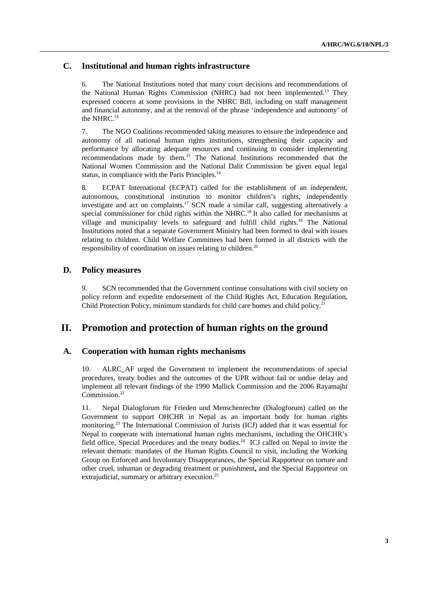## **C. Institutional and human rights infrastructure**

6. The National Institutions noted that many court decisions and recommendations of the National Human Rights Commission (NHRC) had not been implemented.13 They expressed concern at some provisions in the NHRC Bill, including on staff management and financial autonomy, and at the removal of the phrase 'independence and autonomy' of the NHRC.<sup>14</sup>

7. The NGO Coalitions recommended taking measures to ensure the independence and autonomy of all national human rights institutions, strengthening their capacity and performance by allocating adequate resources and continuing to consider implementing recommendations made by them.15 The National Institutions recommended that the National Women Commission and the National Dalit Commission be given equal legal status, in compliance with the Paris Principles.<sup>16</sup>

8. ECPAT International (ECPAT) called for the establishment of an independent, autonomous, constitutional institution to monitor children's rights, independently investigate and act on complaints.<sup>17</sup> SCN made a similar call, suggesting alternatively a special commissioner for child rights within the NHRC.<sup>18</sup> It also called for mechanisms at village and municipality levels to safeguard and fulfill child rights.<sup>19</sup> The National Institutions noted that a separate Government Ministry had been formed to deal with issues relating to children. Child Welfare Committees had been formed in all districts with the responsibility of coordination on issues relating to children.<sup>20</sup>

### **D. Policy measures**

9. SCN recommended that the Government continue consultations with civil society on policy reform and expedite endorsement of the Child Rights Act, Education Regulation, Child Protection Policy, minimum standards for child care homes and child policy.<sup>21</sup>

# **II. Promotion and protection of human rights on the ground**

### **A. Cooperation with human rights mechanisms**

10. ALRC\_AF urged the Government to implement the recommendations of special procedures, treaty bodies and the outcomes of the UPR without fail or undue delay and implement all relevant findings of the 1990 Mallick Commission and the 2006 Rayamajhi Commission.<sup>22</sup>

11. Nepal Dialogforum für Frieden und Menschenrechte (Dialogforum) called on the Government to support OHCHR in Nepal as an important body for human rights monitoring.23 The International Commission of Jurists (ICJ) added that it was essential for Nepal to cooperate with international human rights mechanisms, including the OHCHR's field office, Special Procedures and the treaty bodies.<sup>24</sup> ICJ called on Nepal to invite the relevant thematic mandates of the Human Rights Council to visit, including the Working Group on Enforced and Involuntary Disappearances, the Special Rapporteur on torture and other cruel, inhuman or degrading treatment or punishment**,** and the Special Rapporteur on extrajudicial, summary or arbitrary execution.<sup>25</sup>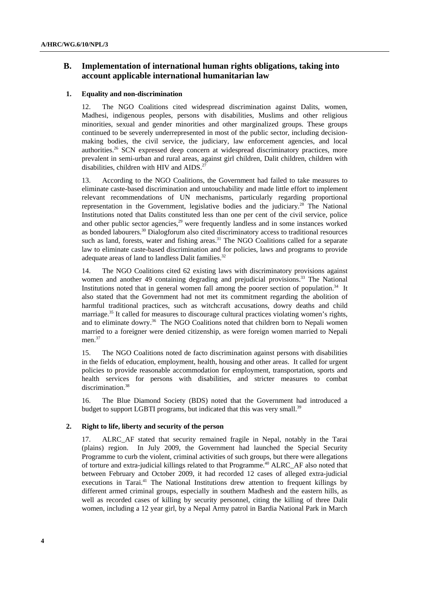# **B. Implementation of international human rights obligations, taking into account applicable international humanitarian law**

### **1. Equality and non-discrimination**

12. The NGO Coalitions cited widespread discrimination against Dalits, women, Madhesi, indigenous peoples, persons with disabilities, Muslims and other religious minorities, sexual and gender minorities and other marginalized groups. These groups continued to be severely underrepresented in most of the public sector, including decisionmaking bodies, the civil service, the judiciary, law enforcement agencies, and local authorities.<sup>26</sup> SCN expressed deep concern at widespread discriminatory practices, more prevalent in semi-urban and rural areas, against girl children, Dalit children, children with disabilities, children with HIV and AIDS. $27$ 

13. According to the NGO Coalitions, the Government had failed to take measures to eliminate caste-based discrimination and untouchability and made little effort to implement relevant recommendations of UN mechanisms, particularly regarding proportional representation in the Government, legislative bodies and the judiciary.<sup>28</sup> The National Institutions noted that Dalits constituted less than one per cent of the civil service, police and other public sector agencies, $29$  were frequently landless and in some instances worked as bonded labourers.<sup>30</sup> Dialogforum also cited discriminatory access to traditional resources such as land, forests, water and fishing areas.<sup>31</sup> The NGO Coalitions called for a separate law to eliminate caste-based discrimination and for policies, laws and programs to provide adequate areas of land to landless Dalit families.<sup>32</sup>

14. The NGO Coalitions cited 62 existing laws with discriminatory provisions against women and another 49 containing degrading and prejudicial provisions.<sup>33</sup> The National Institutions noted that in general women fall among the poorer section of population.<sup>34</sup> It also stated that the Government had not met its commitment regarding the abolition of harmful traditional practices, such as witchcraft accusations, dowry deaths and child marriage.35 It called for measures to discourage cultural practices violating women's rights, and to eliminate dowry.<sup>36</sup> The NGO Coalitions noted that children born to Nepali women married to a foreigner were denied citizenship, as were foreign women married to Nepali men.<sup>37</sup>

15. The NGO Coalitions noted de facto discrimination against persons with disabilities in the fields of education, employment, health, housing and other areas. It called for urgent policies to provide reasonable accommodation for employment, transportation, sports and health services for persons with disabilities, and stricter measures to combat discrimination.<sup>38</sup>

16. The Blue Diamond Society (BDS) noted that the Government had introduced a budget to support LGBTI programs, but indicated that this was very small.<sup>39</sup>

#### **2. Right to life, liberty and security of the person**

17. ALRC\_AF stated that security remained fragile in Nepal, notably in the Tarai (plains) region. In July 2009, the Government had launched the Special Security Programme to curb the violent, criminal activities of such groups, but there were allegations of torture and extra-judicial killings related to that Programme.40 ALRC\_AF also noted that between February and October 2009, it had recorded 12 cases of alleged extra-judicial executions in Tarai.<sup>41</sup> The National Institutions drew attention to frequent killings by different armed criminal groups, especially in southern Madhesh and the eastern hills, as well as recorded cases of killing by security personnel, citing the killing of three Dalit women, including a 12 year girl, by a Nepal Army patrol in Bardia National Park in March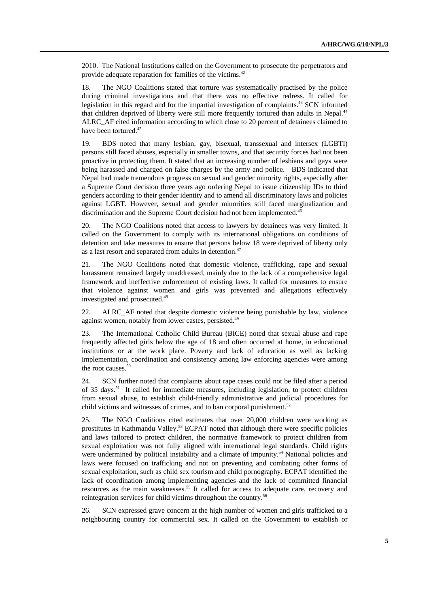2010. The National Institutions called on the Government to prosecute the perpetrators and provide adequate reparation for families of the victims.<sup>42</sup>

18. The NGO Coalitions stated that torture was systematically practised by the police during criminal investigations and that there was no effective redress. It called for legislation in this regard and for the impartial investigation of complaints.<sup>43</sup> SCN informed that children deprived of liberty were still more frequently tortured than adults in Nepal.44 ALRC\_AF cited information according to which close to 20 percent of detainees claimed to have been tortured.<sup>45</sup>

19. BDS noted that many lesbian, gay, bisexual, transsexual and intersex (LGBTI) persons still faced abuses, especially in smaller towns, and that security forces had not been proactive in protecting them. It stated that an increasing number of lesbians and gays were being harassed and charged on false charges by the army and police. BDS indicated that Nepal had made tremendous progress on sexual and gender minority rights, especially after a Supreme Court decision three years ago ordering Nepal to issue citizenship IDs to third genders according to their gender identity and to amend all discriminatory laws and policies against LGBT. However, sexual and gender minorities still faced marginalization and discrimination and the Supreme Court decision had not been implemented.<sup>46</sup>

20. The NGO Coalitions noted that access to lawyers by detainees was very limited. It called on the Government to comply with its international obligations on conditions of detention and take measures to ensure that persons below 18 were deprived of liberty only as a last resort and separated from adults in detention.<sup>47</sup>

21. The NGO Coalitions noted that domestic violence, trafficking, rape and sexual harassment remained largely unaddressed, mainly due to the lack of a comprehensive legal framework and ineffective enforcement of existing laws. It called for measures to ensure that violence against women and girls was prevented and allegations effectively investigated and prosecuted.<sup>48</sup>

22. ALRC\_AF noted that despite domestic violence being punishable by law, violence against women, notably from lower castes, persisted.<sup>49</sup>

23. The International Catholic Child Bureau (BICE) noted that sexual abuse and rape frequently affected girls below the age of 18 and often occurred at home, in educational institutions or at the work place. Poverty and lack of education as well as lacking implementation, coordination and consistency among law enforcing agencies were among the root causes. $50$ 

24. SCN further noted that complaints about rape cases could not be filed after a period of 35 days.<sup>51</sup> It called for immediate measures, including legislation, to protect children from sexual abuse, to establish child-friendly administrative and judicial procedures for child victims and witnesses of crimes, and to ban corporal punishment.<sup>52</sup>

25. The NGO Coalitions cited estimates that over 20,000 children were working as prostitutes in Kathmandu Valley.<sup>53</sup> ECPAT noted that although there were specific policies and laws tailored to protect children, the normative framework to protect children from sexual exploitation was not fully aligned with international legal standards. Child rights were undermined by political instability and a climate of impunity.<sup>54</sup> National policies and laws were focused on trafficking and not on preventing and combating other forms of sexual exploitation, such as child sex tourism and child pornography. ECPAT identified the lack of coordination among implementing agencies and the lack of committed financial resources as the main weaknesses.<sup>55</sup> It called for access to adequate care, recovery and reintegration services for child victims throughout the country.56

26. SCN expressed grave concern at the high number of women and girls trafficked to a neighbouring country for commercial sex. It called on the Government to establish or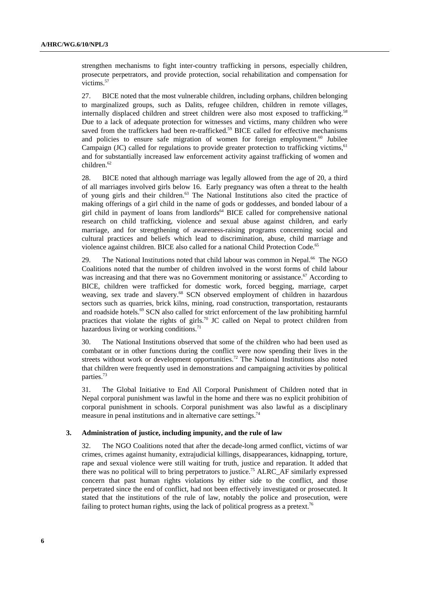strengthen mechanisms to fight inter-country trafficking in persons, especially children, prosecute perpetrators, and provide protection, social rehabilitation and compensation for victims.<sup>57</sup>

27. BICE noted that the most vulnerable children, including orphans, children belonging to marginalized groups, such as Dalits, refugee children, children in remote villages, internally displaced children and street children were also most exposed to trafficking.<sup>58</sup> Due to a lack of adequate protection for witnesses and victims, many children who were saved from the traffickers had been re-trafficked.<sup>59</sup> BICE called for effective mechanisms and policies to ensure safe migration of women for foreign employment. $60$  Jubilee Campaign  $J(C)$  called for regulations to provide greater protection to trafficking victims, <sup>61</sup> and for substantially increased law enforcement activity against trafficking of women and children.<sup>62</sup>

28. BICE noted that although marriage was legally allowed from the age of 20, a third of all marriages involved girls below 16. Early pregnancy was often a threat to the health of young girls and their children.63 The National Institutions also cited the practice of making offerings of a girl child in the name of gods or goddesses, and bonded labour of a girl child in payment of loans from landlords<sup>64</sup> BICE called for comprehensive national research on child trafficking, violence and sexual abuse against children, and early marriage, and for strengthening of awareness-raising programs concerning social and cultural practices and beliefs which lead to discrimination, abuse, child marriage and violence against children. BICE also called for a national Child Protection Code.<sup>65</sup>

29. The National Institutions noted that child labour was common in Nepal.<sup>66</sup> The NGO Coalitions noted that the number of children involved in the worst forms of child labour was increasing and that there was no Government monitoring or assistance.<sup>67</sup> According to BICE, children were trafficked for domestic work, forced begging, marriage, carpet weaving, sex trade and slavery.<sup>68</sup> SCN observed employment of children in hazardous sectors such as quarries, brick kilns, mining, road construction, transportation, restaurants and roadside hotels.<sup>69</sup> SCN also called for strict enforcement of the law prohibiting harmful practices that violate the rights of girls.<sup>70</sup> JC called on Nepal to protect children from hazardous living or working conditions.<sup>71</sup>

30. The National Institutions observed that some of the children who had been used as combatant or in other functions during the conflict were now spending their lives in the streets without work or development opportunities.<sup>72</sup> The National Institutions also noted that children were frequently used in demonstrations and campaigning activities by political parties.<sup>73</sup>

31. The Global Initiative to End All Corporal Punishment of Children noted that in Nepal corporal punishment was lawful in the home and there was no explicit prohibition of corporal punishment in schools. Corporal punishment was also lawful as a disciplinary measure in penal institutions and in alternative care settings.<sup>74</sup>

#### **3. Administration of justice, including impunity, and the rule of law**

32. The NGO Coalitions noted that after the decade-long armed conflict, victims of war crimes, crimes against humanity, extrajudicial killings, disappearances, kidnapping, torture, rape and sexual violence were still waiting for truth, justice and reparation. It added that there was no political will to bring perpetrators to justice.<sup>75</sup> ALRC\_AF similarly expressed concern that past human rights violations by either side to the conflict, and those perpetrated since the end of conflict, had not been effectively investigated or prosecuted. It stated that the institutions of the rule of law, notably the police and prosecution, were failing to protect human rights, using the lack of political progress as a pretext.<sup>76</sup>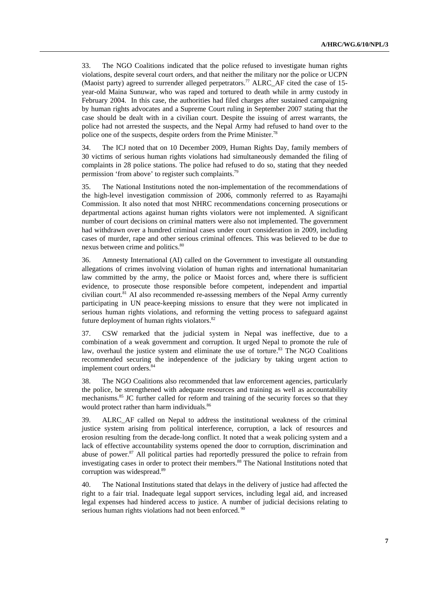33. The NGO Coalitions indicated that the police refused to investigate human rights violations, despite several court orders, and that neither the military nor the police or UCPN (Maoist party) agreed to surrender alleged perpetrators.<sup>77</sup> ALRC AF cited the case of 15year-old Maina Sunuwar, who was raped and tortured to death while in army custody in February 2004. In this case, the authorities had filed charges after sustained campaigning by human rights advocates and a Supreme Court ruling in September 2007 stating that the case should be dealt with in a civilian court. Despite the issuing of arrest warrants, the police had not arrested the suspects, and the Nepal Army had refused to hand over to the police one of the suspects, despite orders from the Prime Minister.<sup>78</sup>

34. The ICJ noted that on 10 December 2009, Human Rights Day, family members of 30 victims of serious human rights violations had simultaneously demanded the filing of complaints in 28 police stations. The police had refused to do so, stating that they needed permission 'from above' to register such complaints.79

35. The National Institutions noted the non-implementation of the recommendations of the high-level investigation commission of 2006, commonly referred to as Rayamajhi Commission. It also noted that most NHRC recommendations concerning prosecutions or departmental actions against human rights violators were not implemented. A significant number of court decisions on criminal matters were also not implemented. The government had withdrawn over a hundred criminal cases under court consideration in 2009, including cases of murder, rape and other serious criminal offences. This was believed to be due to nexus between crime and politics.<sup>80</sup>

36. Amnesty International (AI) called on the Government to investigate all outstanding allegations of crimes involving violation of human rights and international humanitarian law committed by the army, the police or Maoist forces and, where there is sufficient evidence, to prosecute those responsible before competent, independent and impartial civilian court.<sup>81</sup> AI also recommended re-assessing members of the Nepal Army currently participating in UN peace-keeping missions to ensure that they were not implicated in serious human rights violations, and reforming the vetting process to safeguard against future deployment of human rights violators.<sup>82</sup>

37. CSW remarked that the judicial system in Nepal was ineffective, due to a combination of a weak government and corruption. It urged Nepal to promote the rule of law, overhaul the justice system and eliminate the use of torture.<sup>83</sup> The NGO Coalitions recommended securing the independence of the judiciary by taking urgent action to implement court orders.<sup>8</sup>

38. The NGO Coalitions also recommended that law enforcement agencies, particularly the police, be strengthened with adequate resources and training as well as accountability mechanisms.<sup>85</sup> JC further called for reform and training of the security forces so that they would protect rather than harm individuals.<sup>86</sup>

39. ALRC\_AF called on Nepal to address the institutional weakness of the criminal justice system arising from political interference, corruption, a lack of resources and erosion resulting from the decade-long conflict. It noted that a weak policing system and a lack of effective accountability systems opened the door to corruption, discrimination and abuse of power.87 All political parties had reportedly pressured the police to refrain from investigating cases in order to protect their members.<sup>88</sup> The National Institutions noted that corruption was widespread.89

40. The National Institutions stated that delays in the delivery of justice had affected the right to a fair trial. Inadequate legal support services, including legal aid, and increased legal expenses had hindered access to justice. A number of judicial decisions relating to serious human rights violations had not been enforced. <sup>90</sup>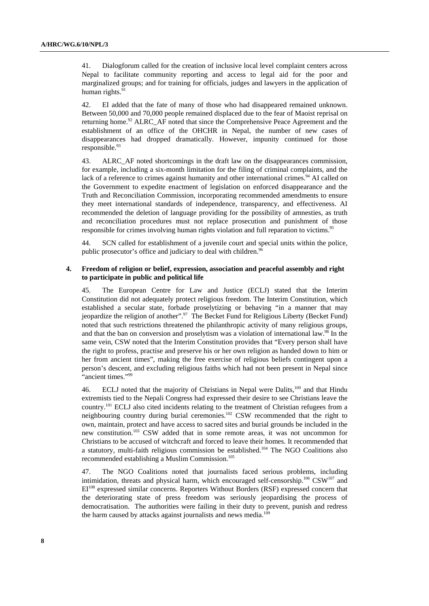41. Dialogforum called for the creation of inclusive local level complaint centers across Nepal to facilitate community reporting and access to legal aid for the poor and marginalized groups; and for training for officials, judges and lawyers in the application of human rights. $91$ 

42. EI added that the fate of many of those who had disappeared remained unknown. Between 50,000 and 70,000 people remained displaced due to the fear of Maoist reprisal on returning home.<sup>92</sup> ALRC AF noted that since the Comprehensive Peace Agreement and the establishment of an office of the OHCHR in Nepal, the number of new cases of disappearances had dropped dramatically. However, impunity continued for those responsible.<sup>93</sup>

43. ALRC\_AF noted shortcomings in the draft law on the disappearances commission, for example, including a six-month limitation for the filing of criminal complaints, and the lack of a reference to crimes against humanity and other international crimes.<sup>94</sup> AI called on the Government to expedite enactment of legislation on enforced disappearance and the Truth and Reconciliation Commission, incorporating recommended amendments to ensure they meet international standards of independence, transparency, and effectiveness. AI recommended the deletion of language providing for the possibility of amnesties, as truth and reconciliation procedures must not replace prosecution and punishment of those responsible for crimes involving human rights violation and full reparation to victims.<sup>95</sup>

44. SCN called for establishment of a juvenile court and special units within the police, public prosecutor's office and judiciary to deal with children.<sup>96</sup>

#### **4. Freedom of religion or belief, expression, association and peaceful assembly and right to participate in public and political life**

45. The European Centre for Law and Justice (ECLJ) stated that the Interim Constitution did not adequately protect religious freedom. The Interim Constitution, which established a secular state, forbade proselytizing or behaving "in a manner that may jeopardize the religion of another".<sup>97</sup> The Becket Fund for Religious Liberty (Becket Fund) noted that such restrictions threatened the philanthropic activity of many religious groups, and that the ban on conversion and proselytism was a violation of international law.<sup>98</sup> In the same vein, CSW noted that the Interim Constitution provides that "Every person shall have the right to profess, practise and preserve his or her own religion as handed down to him or her from ancient times", making the free exercise of religious beliefs contingent upon a person's descent, and excluding religious faiths which had not been present in Nepal since "ancient times."<sup>99</sup>

46. ECLJ noted that the majority of Christians in Nepal were Dalits,<sup>100</sup> and that Hindu extremists tied to the Nepali Congress had expressed their desire to see Christians leave the country.101 ECLJ also cited incidents relating to the treatment of Christian refugees from a neighbouring country during burial ceremonies.102 CSW recommended that the right to own, maintain, protect and have access to sacred sites and burial grounds be included in the new constitution.103 CSW added that in some remote areas, it was not uncommon for Christians to be accused of witchcraft and forced to leave their homes. It recommended that a statutory, multi-faith religious commission be established.104 The NGO Coalitions also recommended establishing a Muslim Commission.<sup>105</sup>

47. The NGO Coalitions noted that journalists faced serious problems, including intimidation, threats and physical harm, which encouraged self-censorship.<sup>106</sup> CSW<sup>107</sup> and EI108 expressed similar concerns. Reporters Without Borders (RSF) expressed concern that the deteriorating state of press freedom was seriously jeopardising the process of democratisation. The authorities were failing in their duty to prevent, punish and redress the harm caused by attacks against journalists and news media.<sup>109</sup>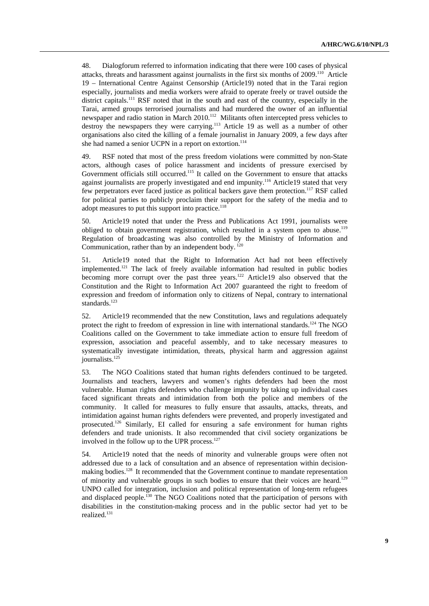48. Dialogforum referred to information indicating that there were 100 cases of physical attacks, threats and harassment against journalists in the first six months of 2009.<sup>110</sup> Article 19 – International Centre Against Censorship (Article19) noted that in the Tarai region especially, journalists and media workers were afraid to operate freely or travel outside the district capitals.111 RSF noted that in the south and east of the country, especially in the Tarai, armed groups terrorised journalists and had murdered the owner of an influential newspaper and radio station in March 2010.<sup>112</sup> Militants often intercepted press vehicles to destroy the newspapers they were carrying.113 Article 19 as well as a number of other organisations also cited the killing of a female journalist in January 2009, a few days after she had named a senior UCPN in a report on extortion.<sup>114</sup>

49. RSF noted that most of the press freedom violations were committed by non-State actors, although cases of police harassment and incidents of pressure exercised by Government officials still occurred.<sup>115</sup> It called on the Government to ensure that attacks against journalists are properly investigated and end impunity.116 Article19 stated that very few perpetrators ever faced justice as political backers gave them protection.<sup>117</sup> RSF called for political parties to publicly proclaim their support for the safety of the media and to adopt measures to put this support into practice.<sup>118</sup>

50. Article19 noted that under the Press and Publications Act 1991, journalists were obliged to obtain government registration, which resulted in a system open to abuse.<sup>119</sup> Regulation of broadcasting was also controlled by the Ministry of Information and Communication, rather than by an independent body.  $120$ 

51. Article19 noted that the Right to Information Act had not been effectively implemented.121 The lack of freely available information had resulted in public bodies becoming more corrupt over the past three years.<sup>122</sup> Article19 also observed that the Constitution and the Right to Information Act 2007 guaranteed the right to freedom of expression and freedom of information only to citizens of Nepal, contrary to international standards.<sup>123</sup>

52. Article19 recommended that the new Constitution, laws and regulations adequately protect the right to freedom of expression in line with international standards.<sup>124</sup> The NGO Coalitions called on the Government to take immediate action to ensure full freedom of expression, association and peaceful assembly, and to take necessary measures to systematically investigate intimidation, threats, physical harm and aggression against journalists.<sup>125</sup>

53. The NGO Coalitions stated that human rights defenders continued to be targeted. Journalists and teachers, lawyers and women's rights defenders had been the most vulnerable. Human rights defenders who challenge impunity by taking up individual cases faced significant threats and intimidation from both the police and members of the community. It called for measures to fully ensure that assaults, attacks, threats, and intimidation against human rights defenders were prevented, and properly investigated and prosecuted.126 Similarly, EI called for ensuring a safe environment for human rights defenders and trade unionists. It also recommended that civil society organizations be involved in the follow up to the UPR process.<sup>127</sup>

54. Article19 noted that the needs of minority and vulnerable groups were often not addressed due to a lack of consultation and an absence of representation within decisionmaking bodies.128 It recommended that the Government continue to mandate representation of minority and vulnerable groups in such bodies to ensure that their voices are heard.129 UNPO called for integration, inclusion and political representation of long-term refugees and displaced people.130 The NGO Coalitions noted that the participation of persons with disabilities in the constitution-making process and in the public sector had yet to be realized.131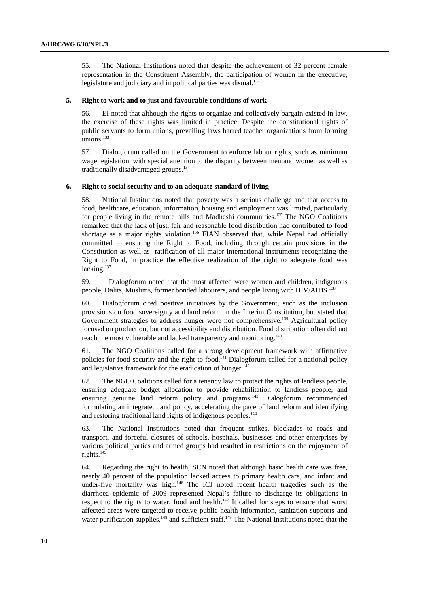55. The National Institutions noted that despite the achievement of 32 percent female representation in the Constituent Assembly, the participation of women in the executive, legislature and judiciary and in political parties was dismal.<sup>132</sup>

#### **5. Right to work and to just and favourable conditions of work**

56. EI noted that although the rights to organize and collectively bargain existed in law, the exercise of these rights was limited in practice. Despite the constitutional rights of public servants to form unions, prevailing laws barred teacher organizations from forming unions.<sup>133</sup>

57. Dialogforum called on the Government to enforce labour rights, such as minimum wage legislation, with special attention to the disparity between men and women as well as traditionally disadvantaged groups.134

#### **6. Right to social security and to an adequate standard of living**

58. National Institutions noted that poverty was a serious challenge and that access to food, healthcare, education, information, housing and employment was limited, particularly for people living in the remote hills and Madheshi communities.<sup>135</sup> The NGO Coalitions remarked that the lack of just, fair and reasonable food distribution had contributed to food shortage as a major rights violation.<sup>136</sup> FIAN observed that, while Nepal had officially committed to ensuring the Right to Food, including through certain provisions in the Constitution as well as ratification of all major international instruments recognizing the Right to Food, in practice the effective realization of the right to adequate food was lacking.<sup>137</sup>

59. Dialogforum noted that the most affected were women and children, indigenous people, Dalits, Muslims, former bonded labourers, and people living with HIV/AIDS.<sup>138</sup>

60. Dialogforum cited positive initiatives by the Government, such as the inclusion provisions on food sovereignty and land reform in the Interim Constitution, but stated that Government strategies to address hunger were not comprehensive.<sup>139</sup> Agricultural policy focused on production, but not accessibility and distribution. Food distribution often did not reach the most vulnerable and lacked transparency and monitoring.<sup>140</sup>

61. The NGO Coalitions called for a strong development framework with affirmative policies for food security and the right to food.<sup>141</sup> Dialogforum called for a national policy and legislative framework for the eradication of hunger.<sup>142</sup>

62. The NGO Coalitions called for a tenancy law to protect the rights of landless people, ensuring adequate budget allocation to provide rehabilitation to landless people, and ensuring genuine land reform policy and programs.<sup>143</sup> Dialogforum recommended formulating an integrated land policy, accelerating the pace of land reform and identifying and restoring traditional land rights of indigenous peoples.<sup>144</sup>

63. The National Institutions noted that frequent strikes, blockades to roads and transport, and forceful closures of schools, hospitals, businesses and other enterprises by various political parties and armed groups had resulted in restrictions on the enjoyment of rights.<sup>145</sup>

64. Regarding the right to health, SCN noted that although basic health care was free, nearly 40 percent of the population lacked access to primary health care, and infant and under-five mortality was high.146 The ICJ noted recent health tragedies such as the diarrhoea epidemic of 2009 represented Nepal's failure to discharge its obligations in respect to the rights to water, food and health.147 It called for steps to ensure that worst affected areas were targeted to receive public health information, sanitation supports and water purification supplies,<sup>148</sup> and sufficient staff.<sup>149</sup> The National Institutions noted that the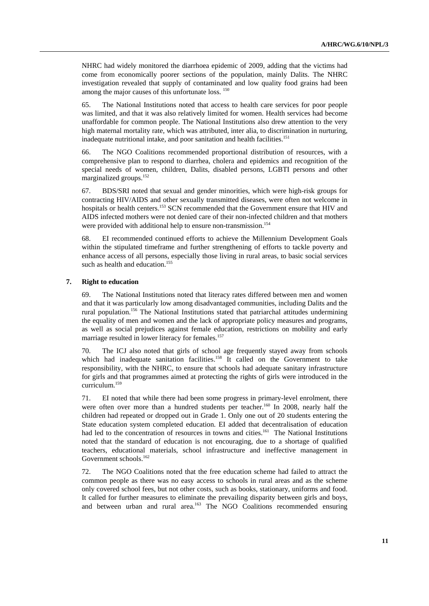NHRC had widely monitored the diarrhoea epidemic of 2009, adding that the victims had come from economically poorer sections of the population, mainly Dalits. The NHRC investigation revealed that supply of contaminated and low quality food grains had been among the major causes of this unfortunate loss. <sup>150</sup>

65. The National Institutions noted that access to health care services for poor people was limited, and that it was also relatively limited for women. Health services had become unaffordable for common people. The National Institutions also drew attention to the very high maternal mortality rate, which was attributed, inter alia, to discrimination in nurturing, inadequate nutritional intake, and poor sanitation and health facilities.<sup>151</sup>

66. The NGO Coalitions recommended proportional distribution of resources, with a comprehensive plan to respond to diarrhea, cholera and epidemics and recognition of the special needs of women, children, Dalits, disabled persons, LGBTI persons and other marginalized groups.152

67. BDS/SRI noted that sexual and gender minorities, which were high-risk groups for contracting HIV/AIDS and other sexually transmitted diseases, were often not welcome in hospitals or health centers.<sup>153</sup> SCN recommended that the Government ensure that HIV and AIDS infected mothers were not denied care of their non-infected children and that mothers were provided with additional help to ensure non-transmission.<sup>154</sup>

68. EI recommended continued efforts to achieve the Millennium Development Goals within the stipulated timeframe and further strengthening of efforts to tackle poverty and enhance access of all persons, especially those living in rural areas, to basic social services such as health and education.<sup>155</sup>

#### **7. Right to education**

69. The National Institutions noted that literacy rates differed between men and women and that it was particularly low among disadvantaged communities, including Dalits and the rural population.156 The National Institutions stated that patriarchal attitudes undermining the equality of men and women and the lack of appropriate policy measures and programs, as well as social prejudices against female education, restrictions on mobility and early marriage resulted in lower literacy for females.<sup>157</sup>

70. The ICJ also noted that girls of school age frequently stayed away from schools which had inadequate sanitation facilities.<sup>158</sup> It called on the Government to take responsibility, with the NHRC, to ensure that schools had adequate sanitary infrastructure for girls and that programmes aimed at protecting the rights of girls were introduced in the curriculum.159

71. EI noted that while there had been some progress in primary-level enrolment, there were often over more than a hundred students per teacher.<sup>160</sup> In 2008, nearly half the children had repeated or dropped out in Grade 1. Only one out of 20 students entering the State education system completed education. EI added that decentralisation of education had led to the concentration of resources in towns and cities.<sup>161</sup> The National Institutions noted that the standard of education is not encouraging, due to a shortage of qualified teachers, educational materials, school infrastructure and ineffective management in Government schools.<sup>162</sup>

72. The NGO Coalitions noted that the free education scheme had failed to attract the common people as there was no easy access to schools in rural areas and as the scheme only covered school fees, but not other costs, such as books, stationary, uniforms and food. It called for further measures to eliminate the prevailing disparity between girls and boys, and between urban and rural area.<sup>163</sup> The NGO Coalitions recommended ensuring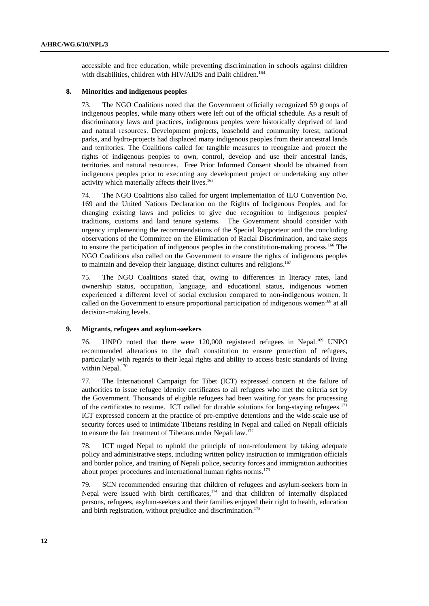accessible and free education, while preventing discrimination in schools against children with disabilities, children with HIV/AIDS and Dalit children.<sup>164</sup>

#### **8. Minorities and indigenous peoples**

73. The NGO Coalitions noted that the Government officially recognized 59 groups of indigenous peoples, while many others were left out of the official schedule. As a result of discriminatory laws and practices, indigenous peoples were historically deprived of land and natural resources. Development projects, leasehold and community forest, national parks, and hydro-projects had displaced many indigenous peoples from their ancestral lands and territories. The Coalitions called for tangible measures to recognize and protect the rights of indigenous peoples to own, control, develop and use their ancestral lands, territories and natural resources. Free Prior Informed Consent should be obtained from indigenous peoples prior to executing any development project or undertaking any other activity which materially affects their lives.<sup>165</sup>

74. The NGO Coalitions also called for urgent implementation of ILO Convention No. 169 and the United Nations Declaration on the Rights of Indigenous Peoples, and for changing existing laws and policies to give due recognition to indigenous peoples' traditions, customs and land tenure systems. The Government should consider with urgency implementing the recommendations of the Special Rapporteur and the concluding observations of the Committee on the Elimination of Racial Discrimination, and take steps to ensure the participation of indigenous peoples in the constitution-making process.<sup>166</sup> The NGO Coalitions also called on the Government to ensure the rights of indigenous peoples to maintain and develop their language, distinct cultures and religions.<sup>167</sup>

75. The NGO Coalitions stated that, owing to differences in literacy rates, land ownership status, occupation, language, and educational status, indigenous women experienced a different level of social exclusion compared to non-indigenous women. It called on the Government to ensure proportional participation of indigenous women<sup>168</sup> at all decision-making levels.

#### **9. Migrants, refugees and asylum-seekers**

76. UNPO noted that there were 120,000 registered refugees in Nepal.<sup>169</sup> UNPO recommended alterations to the draft constitution to ensure protection of refugees, particularly with regards to their legal rights and ability to access basic standards of living within Nepal.<sup>170</sup>

77. The International Campaign for Tibet (ICT) expressed concern at the failure of authorities to issue refugee identity certificates to all refugees who met the criteria set by the Government. Thousands of eligible refugees had been waiting for years for processing of the certificates to resume. ICT called for durable solutions for long-staying refugees.<sup>171</sup> ICT expressed concern at the practice of pre-emptive detentions and the wide-scale use of security forces used to intimidate Tibetans residing in Nepal and called on Nepali officials to ensure the fair treatment of Tibetans under Nepali law.<sup>1</sup>

78. ICT urged Nepal to uphold the principle of non-refoulement by taking adequate policy and administrative steps, including written policy instruction to immigration officials and border police, and training of Nepali police, security forces and immigration authorities about proper procedures and international human rights norms.<sup>173</sup>

79. SCN recommended ensuring that children of refugees and asylum-seekers born in Nepal were issued with birth certificates,<sup>174</sup> and that children of internally displaced persons, refugees, asylum-seekers and their families enjoyed their right to health, education and birth registration, without prejudice and discrimination.<sup>175</sup>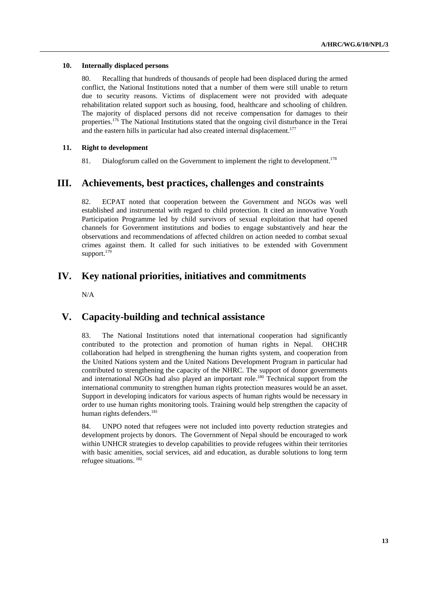#### **10. Internally displaced persons**

80. Recalling that hundreds of thousands of people had been displaced during the armed conflict, the National Institutions noted that a number of them were still unable to return due to security reasons. Victims of displacement were not provided with adequate rehabilitation related support such as housing, food, healthcare and schooling of children. The majority of displaced persons did not receive compensation for damages to their properties.<sup>176</sup> The National Institutions stated that the ongoing civil disturbance in the Terai and the eastern hills in particular had also created internal displacement.<sup>177</sup>

### **11. Right to development**

81. Dialogforum called on the Government to implement the right to development.<sup>178</sup>

# **III. Achievements, best practices, challenges and constraints**

82. ECPAT noted that cooperation between the Government and NGOs was well established and instrumental with regard to child protection. It cited an innovative Youth Participation Programme led by child survivors of sexual exploitation that had opened channels for Government institutions and bodies to engage substantively and hear the observations and recommendations of affected children on action needed to combat sexual crimes against them. It called for such initiatives to be extended with Government support.<sup>179</sup>

# **IV. Key national priorities, initiatives and commitments**

N/A

# **V. Capacity-building and technical assistance**

83. The National Institutions noted that international cooperation had significantly contributed to the protection and promotion of human rights in Nepal. OHCHR collaboration had helped in strengthening the human rights system, and cooperation from the United Nations system and the United Nations Development Program in particular had contributed to strengthening the capacity of the NHRC. The support of donor governments and international NGOs had also played an important role.<sup>180</sup> Technical support from the international community to strengthen human rights protection measures would be an asset. Support in developing indicators for various aspects of human rights would be necessary in order to use human rights monitoring tools. Training would help strengthen the capacity of human rights defenders.<sup>181</sup>

84. UNPO noted that refugees were not included into poverty reduction strategies and development projects by donors. The Government of Nepal should be encouraged to work within UNHCR strategies to develop capabilities to provide refugees within their territories with basic amenities, social services, aid and education, as durable solutions to long term refugee situations. <sup>182</sup>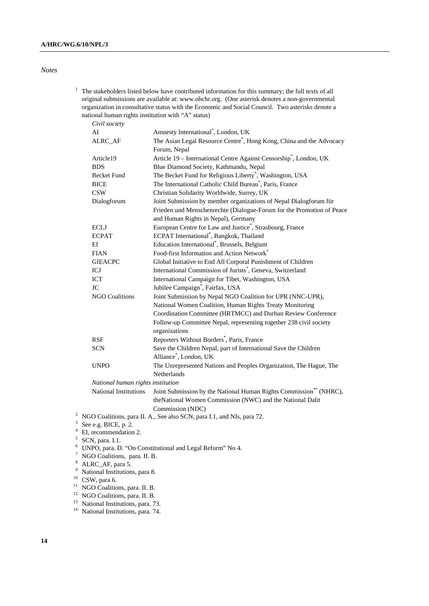## *Notes*

 $1$  The stakeholders listed below have contributed information for this summary; the full texts of all original submissions are available at: www.ohchr.org. (One asterisk denotes a non-governmental organization in consultative status with the Economic and Social Council. Two asterisks denote a national human rights institution with "A" status)

| Civil society                     |                                                                                                  |
|-----------------------------------|--------------------------------------------------------------------------------------------------|
| AI                                | Amnesty International <sup>*</sup> , London, UK                                                  |
| ALRC_AF                           | The Asian Legal Resource Centre <sup>*</sup> , Hong Kong, China and the Advocacy<br>Forum, Nepal |
| Article19                         | Article 19 - International Centre Against Censorship <sup>*</sup> , London, UK                   |
| <b>BDS</b>                        | Blue Diamond Society, Kathmandu, Nepal                                                           |
| <b>Becket Fund</b>                | The Becket Fund for Religious Liberty <sup>*</sup> , Washington, USA                             |
| <b>BICE</b>                       | The International Catholic Child Bureau*, Paris, France                                          |
| <b>CSW</b>                        | Christian Solidarity Worldwide, Surrey, UK                                                       |
| Dialogforum                       | Joint Submission by member organizations of Nepal Dialogforum für                                |
|                                   | Frieden und Menschenrechte (Dialogue-Forum for the Promotion of Peace                            |
|                                   | and Human Rights in Nepal), Germany                                                              |
| <b>ECLJ</b>                       | European Centre for Law and Justice <sup>*</sup> , Strasbourg, France                            |
| <b>ECPAT</b>                      | ECPAT International <sup>*</sup> , Bangkok, Thailand                                             |
| EI                                | Education International <sup>*</sup> , Brussels, Belgium                                         |
| <b>FIAN</b>                       | Food-first Information and Action Network*                                                       |
| <b>GIEACPC</b>                    | Global Initiative to End All Corporal Punishment of Children                                     |
| ICJ                               | International Commission of Jurists <sup>*</sup> , Geneva, Switzerland                           |
| <b>ICT</b>                        | International Campaign for Tibet, Washington, USA                                                |
| <b>JC</b>                         | Jubilee Campaign <sup>*</sup> , Fairfax, USA                                                     |
| <b>NGO Coalitions</b>             | Joint Submission by Nepal NGO Coalition for UPR (NNC-UPR),                                       |
|                                   | National Women Coalition, Human Rights Treaty Monitoring                                         |
|                                   | Coordination Committee (HRTMCC) and Durban Review Conference                                     |
|                                   | Follow-up Committee Nepal, representing together 238 civil society<br>organizations              |
| <b>RSF</b>                        | Reporters Without Borders <sup>*</sup> , Paris, France                                           |
| <b>SCN</b>                        | Save the Children Nepal, part of International Save the Children                                 |
|                                   | Alliance®, London, UK                                                                            |
| <b>UNPO</b>                       | The Unrepresented Nations and Peoples Organization, The Hague, The                               |
|                                   | <b>Netherlands</b>                                                                               |
| National human rights institution |                                                                                                  |
| National Institutions             | Joint Submission by the National Human Rights Commission** (NHRC),                               |
|                                   | theNational Women Commission (NWC) and the National Dalit                                        |

Commission (NDC)<br><sup>2</sup> NGO Coolitions, pers  $\overline{H}$ ,  $\Lambda$ , See also SCN pers

<sup>2</sup> NGO Coalitions, para II. A., See also SCN, para I.1, and NIs, para 72.  $\frac{3}{2}$  See e.g. PICE n. 2.

<sup>3</sup> See e.g. BICE, p. 2.<br><sup>4</sup> EI, recommendation 2.

 $5$  SCN, para. I.1.

6 UNPO, para. D. "On Constitutional and Legal Reform" No 4.

<sup>7</sup> NGO Coalitions, para. II. B.

<sup>9</sup> National Institutions, para 8.

 $^{10}$  CSW, para 6.

<sup>11</sup> NGO Coalitions, para. II. B.

<sup>12</sup> NGO Coalitions, para. II. B.

<sup>13</sup> National Institutions, para. 73.

<sup>14</sup> National Institutions, para. 74.

<sup>8</sup> ALRC\_AF, para 5.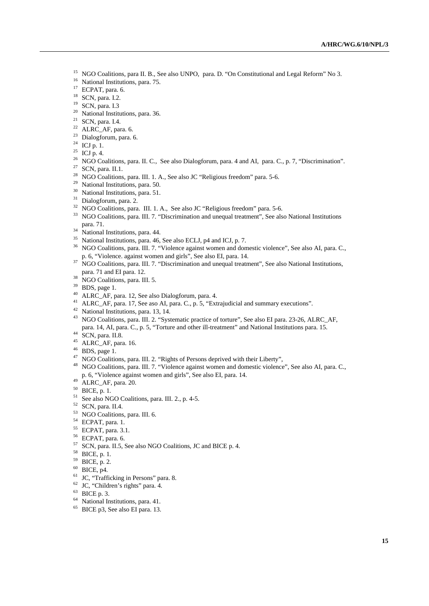- <sup>15</sup> NGO Coalitions, para II. B., See also UNPO, para. D. "On Constitutional and Legal Reform" No 3.<br><sup>16</sup> National Institutions, para. 75.
- 
- 17 ECPAT, para. 6.
- 18 SCN, para. I.2.
- 19 SCN, para. I.3
- <sup>20</sup> National Institutions, para. 36.
- $21$  SCN, para. I.4.
- $22$  ALRC\_AF, para. 6.
- 23 Dialogforum, para. 6.
- $24$  ICJ p. 1.
- $^{25}$  ICJ p. 4.
- <sup>26</sup> NGO Coalitions, para. II. C., See also Dialogforum, para. 4 and AI, para. C., p. 7, "Discrimination". <br><sup>27</sup> SCN, para. II.1.
- 
- <sup>28</sup> NGO Coalitions, para. III. 1. A., See also JC "Religious freedom" para. 5-6. <br><sup>29</sup> National Institutions, para. 50.
- 
- <sup>30</sup> National Institutions, para. 51.
- 
- $31$  Dialogforum, para. 2.<br> $32$  NGO Coalitions, para. III. 1. A., See also JC "Religious freedom" para. 5-6.
- <sup>33</sup> NGO Coalitions, para. III. 7. "Discrimination and unequal treatment", See also National Institutions para. 71.
- 
- $\frac{34}{35}$  National Institutions, para. 44.<br> $\frac{35}{35}$  National Institutions, para. 46, See also ECLJ, p4 and ICJ, p. 7.
- <sup>36</sup> NGO Coalitions, para. III. 7. "Violence against women and domestic violence", See also AI, para. C., p. 6, "Violence. against women and girls", See also EI, para. 14.
- <sup>37</sup> NGO Coalitions, para. III. 7. "Discrimination and unequal treatment", See also National Institutions,
- para. 71 and EI para. 12. 38 NGO Coalitions, para. III. 5.
- $39$  BDS, page 1.
- 40 ALRC\_AF, para. 12, See also Dialogforum, para. 4.
- 41 ALRC\_AF, para. 17, See aso AI, para. C., p. 5, "Extrajudicial and summary executions".<br><sup>42</sup> National Institutions, para. 13, 14.
- 
- 43 NGO Coalitions, para. III. 2. "Systematic practice of torture", See also EI para. 23-26, ALRC\_AF, para. 14, AI, para. C., p. 5, "Torture and other ill-treatment" and National Institutions para. 15. 44 SCN, para. II.8.
- 
- 45 ALRC\_AF, para. 16.
- 
- 46 BDS, page 1.<br><sup>47</sup> NGO Coalitions, para. III. 2. "Rights of Persons deprived with their Liberty",
- <sup>48</sup> NGO Coalitions, para. III. 7. "Violence against women and domestic violence", See also AI, para. C., p. 6, "Violence against women and girls", See also EI, para. 14. 49 ALRC\_AF, para. 20.
- 
- 50 BICE, p. 1.
- 51 See also NGO Coalitions, para. III. 2., p. 4-5.
- 52 SCN, para. II.4.
- 53 NGO Coalitions, para. III. 6.
- 54 ECPAT, para. 1.
- 55 ECPAT, para. 3.1.
- 56 ECPAT, para. 6.
- $57$  SCN, para. II.5, See also NGO Coalitions, JC and BICE p. 4.<br>58 BICE, p. 1.
- 
- 59 BICE, p. 2.
- $60$  BICE, p4.
- <sup>61</sup> JC, "Trafficking in Persons" para. 8.
- 62 JC, "Children's rights" para. 4.
- 63 BICE p. 3.
- <sup>64</sup> National Institutions, para. 41.
- $65$  BICE p3, See also EI para. 13.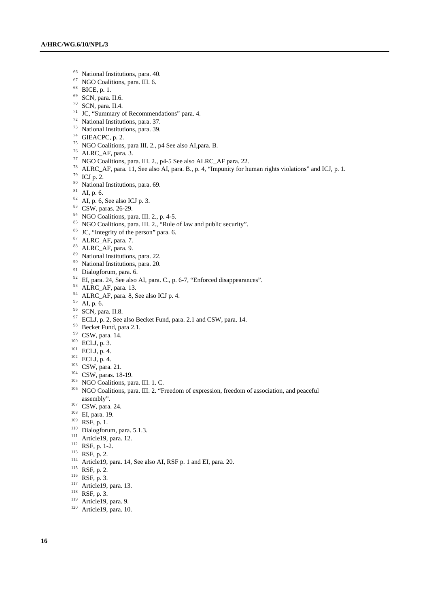- 66 National Institutions, para. 40.
- 67 NGO Coalitions, para. III. 6.
- 68 BICE, p. 1.
- 69 SCN, para. II.6.
- $70$  SCN, para. II.4.
- $71 \text{ JCC}$ , "Summary of Recommendations" para. 4.
- 72 National Institutions, para. 37.
- 73 National Institutions, para. 39.
- $74$  GIEACPC, p. 2.
- 75 NGO Coalitions, para III. 2., p4 See also AI,para. B.
- 
- <sup>76</sup> ALRC\_AF, para. 3.<br><sup>77</sup> NGO Coalitions, para. III. 2., p4-5 See also ALRC\_AF para. 22.
- <sup>78</sup> ALRC\_AF, para. 11, See also AI, para. B., p. 4, "Impunity for human rights violations" and ICJ, p. 1.<br><sup>79</sup> ICJ p. 2.
- 
- 80 National Institutions, para. 69.
- $81$  AI, p. 6.
- $82$  AI, p. 6, See also ICJ p. 3.
- 83 CSW, paras. 26-29.
- $84$  NGO Coalitions, para. III. 2., p. 4-5.
- <sup>85</sup> NGO Coalitions, para. III. 2., "Rule of law and public security".<br><sup>86</sup> JC, "Integrity of the person" para. 6.
- 
- 87 ALRC\_AF, para. 7.
- 88 ALRC\_AF, para. 9.
- 89 National Institutions, para. 22.
- 90 National Institutions, para. 20.
- 91 Dialogforum, para. 6.
- <sup>92</sup> EI, para. 24, See also AI, para. C., p. 6-7, "Enforced disappearances".
- 93 ALRC\_AF, para. 13.
- 94 ALRC\_AF, para. 8, See also ICJ p. 4.
- 95 AI, p. 6.
- <sup>96</sup> SCN, para. II.8.
- $^{97}$  ECLJ, p. 2, See also Becket Fund, para. 2.1 and CSW, para. 14.
- <sup>98</sup> Becket Fund, para 2.1.<br><sup>99</sup> CSW, para. 14.
- 
- 
- 
- 
- 
- 
- 
- <sup>100</sup> ECLJ, p. 3.<br>
<sup>101</sup> ECLJ, p. 4.<br>
<sup>102</sup> ECLJ, p. 4.<br>
<sup>102</sup> ECLJ, p. 4.<br>
<sup>103</sup> CSW, para. 21.<br>
<sup>103</sup> CSW, paras. 18-19.<br>
<sup>103</sup> NGO Coalitions, para. III. 1. C.<br>
<sup>106</sup> NGO Coalitions, para. III. 2. "Freedom of expressio assembly".<br>
<sup>107</sup> CSW, para. 24.<br>
<sup>108</sup> EI, para. 19.<br>
<sup>109</sup> RSF, p. 1.<br>
<sup>110</sup> Dialogforum, para. 5.1.3.<br>
<sup>111</sup> Article19, para. 12.<br>
<sup>112</sup> RSF, p. 1-2.<br>
<sup>113</sup> RSF, p. 2.<br>
<sup>114</sup> RSF, p. 2.<br>
<sup>115</sup> RSF, p. 2.<br>
<sup>116</sup> RSF, p.
- 
- 
- 
- 
- 
- 
- 
- 
- 
- 
- 
- 
- 
-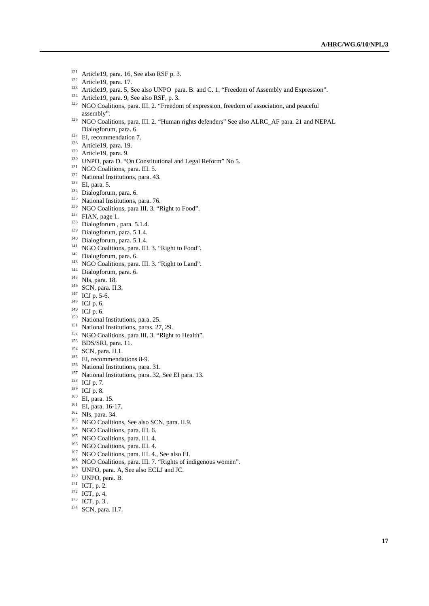- 
- 
- <sup>121</sup> Article19, para. 16, See also RSF p. 3.<br><sup>122</sup> Article19, para. 17.<br><sup>123</sup> Article19, para. 5, See also UNPO para. B. and C. 1. "Freedom of Assembly and Expression".<br><sup>124</sup> Article19, para. 9, See also RSF, p. 3.<br><sup>125</sup>
- 
- assembly".<br><sup>126</sup> NGO Coalitions, para. III. 2. "Human rights defenders" See also ALRC\_AF para. 21 and NEPAL
- Dialogforum, para. 6.<br>
27 EH, recommendation 7.<br>
27 EH, recommendation 7.<br>
28 Article19, para. 9.<br>
28 Article19, para. 9.<br>
28 Article19, para. D.<br>
29 Article19, para. 19.<br>
22 IV. NO Conditions, para. 43.<br>
23 National Inst
- 
- 
- 
- 
- 
- 
- 
- 
- 
- 
- 
- 
- 
- 
- 
- 
- 
- 
- 
- 
- 
- 
- 
- 
- 
- 
- 
- 
- 
- 
- 
- 
- 
- 
- 
- 
- 
- 
- 
- 
- 
- 
- 
- 
- 
- 
- 
-